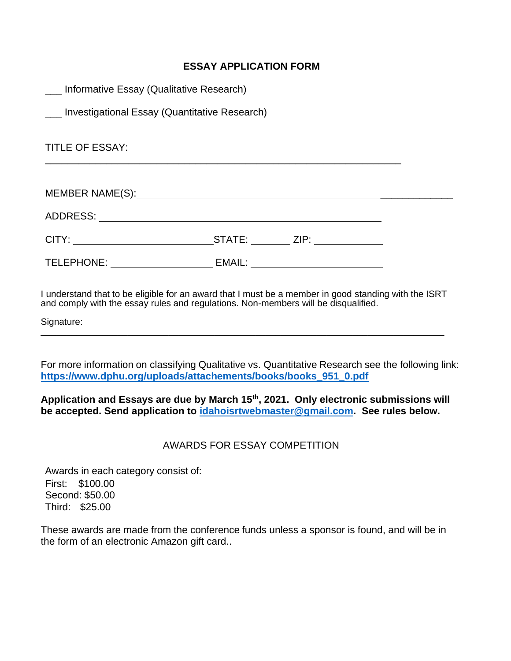#### **ESSAY APPLICATION FORM**

| ___ Informative Essay (Qualitative Research)      |                                     |  |
|---------------------------------------------------|-------------------------------------|--|
| ___ Investigational Essay (Quantitative Research) |                                     |  |
| <b>TITLE OF ESSAY:</b>                            |                                     |  |
|                                                   |                                     |  |
|                                                   |                                     |  |
|                                                   |                                     |  |
|                                                   | EMAIL: ____________________________ |  |

I understand that to be eligible for an award that I must be a member in good standing with the ISRT and comply with the essay rules and regulations. Non-members will be disqualified.

Signature:  $\overline{\phantom{a}}$  ,  $\overline{\phantom{a}}$  ,  $\overline{\phantom{a}}$  ,  $\overline{\phantom{a}}$  ,  $\overline{\phantom{a}}$  ,  $\overline{\phantom{a}}$  ,  $\overline{\phantom{a}}$  ,  $\overline{\phantom{a}}$  ,  $\overline{\phantom{a}}$  ,  $\overline{\phantom{a}}$  ,  $\overline{\phantom{a}}$  ,  $\overline{\phantom{a}}$  ,  $\overline{\phantom{a}}$  ,  $\overline{\phantom{a}}$  ,  $\overline{\phantom{a}}$  ,  $\overline{\phantom{a}}$ 

For more information on classifying Qualitative vs. Quantitative Research see the following link: **[https://www.dphu.org/uploads/attachements/books/books\\_951\\_0.pdf](https://www.dphu.org/uploads/attachements/books/books_951_0.pdf)**

**Application and Essays are due by March 15th, 2021. Only electronic submissions will be accepted. Send application to [idahoisrtwebmaster@gmail.com.](mailto:idahoisrtwebmaster@gmail.com?subject=Essay%20Application%20Form) See rules below.**

### AWARDS FOR ESSAY COMPETITION

Awards in each category consist of: First: \$100.00 Second: \$50.00 Third: \$25.00

These awards are made from the conference funds unless a sponsor is found, and will be in the form of an electronic Amazon gift card..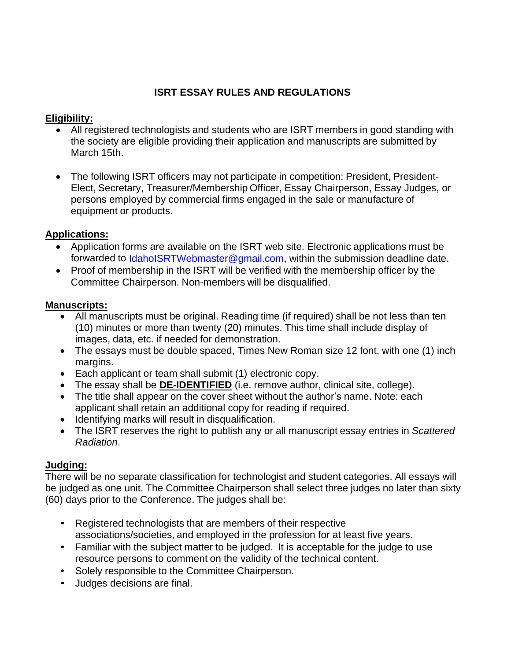# **ISRT ESSAY RULES AND REGULATIONS**

### **Eligibility:**

- All registered technologists and students who are ISRT members in good standing with the society are eligible providing their application and manuscripts are submitted by March 15th.
- The following ISRT officers may not participate in competition: President, President-Elect, Secretary, Treasurer/Membership Officer, Essay Chairperson, Essay Judges, or persons employed by commercial firms engaged in the sale or manufacture of equipment or products.

## **Applications:**

- Application forms are available on the ISRT web site. Electronic applications must be forwarded to [IdahoISRTWebmaster@gmail.com,](mailto:IdahoISRTWebmaster@gmail.com) within the submission deadline date.
- Proof of membership in the ISRT will be verified with the membership officer by the Committee Chairperson. Non-members will be disqualified.

### **Manuscripts:**

- All manuscripts must be original. Reading time (if required) shall be not less than ten (10) minutes or more than twenty (20) minutes. This time shall include display of images, data, etc. if needed for demonstration.
- The essays must be double spaced, Times New Roman size 12 font, with one (1) inch margins.
- Each applicant or team shall submit (1) electronic copy.
- The essay shall be **DE-IDENTIFIED** (i.e. remove author, clinical site, college).
- The title shall appear on the cover sheet without the author's name. Note: each applicant shall retain an additional copy for reading if required.
- Identifying marks will result in disqualification.
- The ISRT reserves the right to publish any or all manuscript essay entries in *Scattered Radiation*.

### **Judging:**

There will be no separate classification for technologist and student categories. All essays will be judged as one unit. The Committee Chairperson shall select three judges no later than sixty (60) days prior to the Conference. The judges shall be:

- Registered technologists that are members of their respective associations/societies, and employed in the profession for at least five years.
- Familiar with the subject matter to be judged. It is acceptable for the judge to use resource persons to comment on the validity of the technical content.
- Solely responsible to the Committee Chairperson.
- Judges decisions are final.